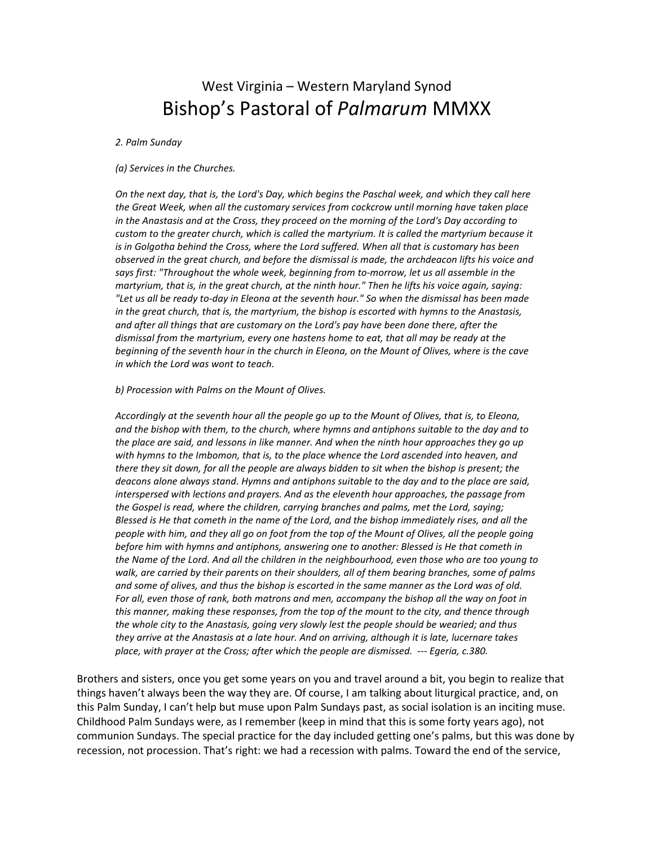## West Virginia – Western Maryland Synod Bishop's Pastoral of *Palmarum* MMXX

*2. Palm Sunday* 

## *(a) Services in the Churches.*

*On the next day, that is, the Lord's Day, which begins the Paschal week, and which they call here the Great Week, when all the customary services from cockcrow until morning have taken place in the Anastasis and at the Cross, they proceed on the morning of the Lord's Day according to custom to the greater church, which is called the martyrium. It is called the martyrium because it is in Golgotha behind the Cross, where the Lord suffered. When all that is customary has been observed in the great church, and before the dismissal is made, the archdeacon lifts his voice and says first: "Throughout the whole week, beginning from to-morrow, let us all assemble in the martyrium, that is, in the great church, at the ninth hour." Then he lifts his voice again, saying: "Let us all be ready to-day in Eleona at the seventh hour." So when the dismissal has been made in the great church, that is, the martyrium, the bishop is escorted with hymns to the Anastasis, and after all things that are customary on the Lord's pay have been done there, after the dismissal from the martyrium, every one hastens home to eat, that all may be ready at the beginning of the seventh hour in the church in Eleona, on the Mount of Olives, where is the cave in which the Lord was wont to teach.* 

## *b) Procession with Palms on the Mount of Olives.*

*Accordingly at the seventh hour all the people go up to the Mount of Olives, that is, to Eleona, and the bishop with them, to the church, where hymns and antiphons suitable to the day and to the place are said, and lessons in like manner. And when the ninth hour approaches they go up with hymns to the Imbomon, that is, to the place whence the Lord ascended into heaven, and there they sit down, for all the people are always bidden to sit when the bishop is present; the deacons alone always stand. Hymns and antiphons suitable to the day and to the place are said, interspersed with lections and prayers. And as the eleventh hour approaches, the passage from the Gospel is read, where the children, carrying branches and palms, met the Lord, saying; Blessed is He that cometh in the name of the Lord, and the bishop immediately rises, and all the people with him, and they all go on foot from the top of the Mount of Olives, all the people going before him with hymns and antiphons, answering one to another: Blessed is He that cometh in the Name of the Lord. And all the children in the neighbourhood, even those who are too young to walk, are carried by their parents on their shoulders, all of them bearing branches, some of palms and some of olives, and thus the bishop is escorted in the same manner as the Lord was of old.*  For all, even those of rank, both matrons and men, accompany the bishop all the way on foot in *this manner, making these responses, from the top of the mount to the city, and thence through the whole city to the Anastasis, going very slowly lest the people should be wearied; and thus they arrive at the Anastasis at a late hour. And on arriving, although it is late, lucernare takes place, with prayer at the Cross; after which the people are dismissed. --- Egeria, c.380.*

Brothers and sisters, once you get some years on you and travel around a bit, you begin to realize that things haven't always been the way they are. Of course, I am talking about liturgical practice, and, on this Palm Sunday, I can't help but muse upon Palm Sundays past, as social isolation is an inciting muse. Childhood Palm Sundays were, as I remember (keep in mind that this is some forty years ago), not communion Sundays. The special practice for the day included getting one's palms, but this was done by recession, not procession. That's right: we had a recession with palms. Toward the end of the service,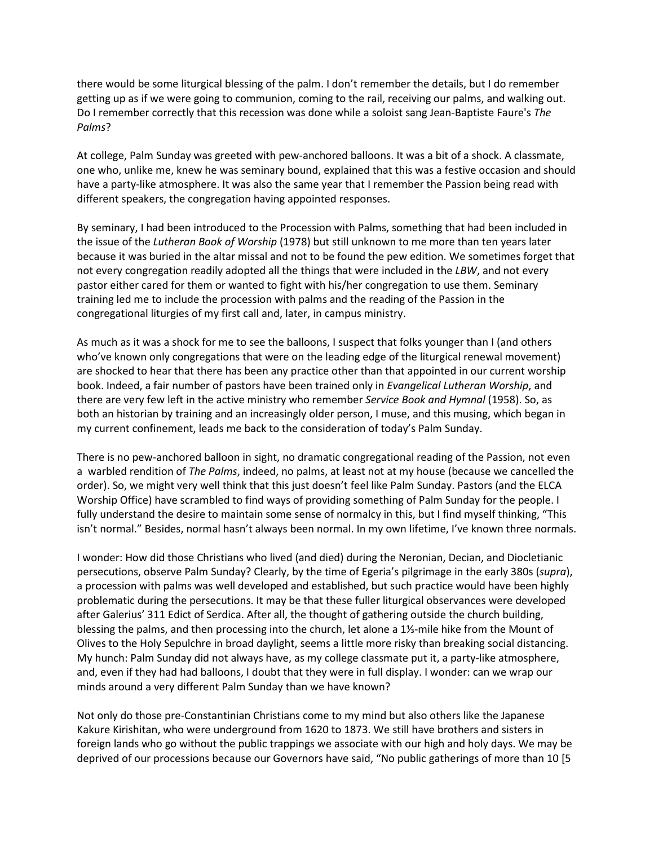there would be some liturgical blessing of the palm. I don't remember the details, but I do remember getting up as if we were going to communion, coming to the rail, receiving our palms, and walking out. Do I remember correctly that this recession was done while a soloist sang Jean-Baptiste Faure's *The Palms*?

At college, Palm Sunday was greeted with pew-anchored balloons. It was a bit of a shock. A classmate, one who, unlike me, knew he was seminary bound, explained that this was a festive occasion and should have a party-like atmosphere. It was also the same year that I remember the Passion being read with different speakers, the congregation having appointed responses.

By seminary, I had been introduced to the Procession with Palms, something that had been included in the issue of the *Lutheran Book of Worship* (1978) but still unknown to me more than ten years later because it was buried in the altar missal and not to be found the pew edition. We sometimes forget that not every congregation readily adopted all the things that were included in the *LBW*, and not every pastor either cared for them or wanted to fight with his/her congregation to use them. Seminary training led me to include the procession with palms and the reading of the Passion in the congregational liturgies of my first call and, later, in campus ministry.

As much as it was a shock for me to see the balloons, I suspect that folks younger than I (and others who've known only congregations that were on the leading edge of the liturgical renewal movement) are shocked to hear that there has been any practice other than that appointed in our current worship book. Indeed, a fair number of pastors have been trained only in *Evangelical Lutheran Worship*, and there are very few left in the active ministry who remember *Service Book and Hymnal* (1958). So, as both an historian by training and an increasingly older person, I muse, and this musing, which began in my current confinement, leads me back to the consideration of today's Palm Sunday.

There is no pew-anchored balloon in sight, no dramatic congregational reading of the Passion, not even a warbled rendition of *The Palms*, indeed, no palms, at least not at my house (because we cancelled the order). So, we might very well think that this just doesn't feel like Palm Sunday. Pastors (and the ELCA Worship Office) have scrambled to find ways of providing something of Palm Sunday for the people. I fully understand the desire to maintain some sense of normalcy in this, but I find myself thinking, "This isn't normal." Besides, normal hasn't always been normal. In my own lifetime, I've known three normals.

I wonder: How did those Christians who lived (and died) during the Neronian, Decian, and Diocletianic persecutions, observe Palm Sunday? Clearly, by the time of Egeria's pilgrimage in the early 380s (*supra*), a procession with palms was well developed and established, but such practice would have been highly problematic during the persecutions. It may be that these fuller liturgical observances were developed after Galerius' 311 Edict of Serdica. After all, the thought of gathering outside the church building, blessing the palms, and then processing into the church, let alone a 1⅓-mile hike from the Mount of Olives to the Holy Sepulchre in broad daylight, seems a little more risky than breaking social distancing. My hunch: Palm Sunday did not always have, as my college classmate put it, a party-like atmosphere, and, even if they had had balloons, I doubt that they were in full display. I wonder: can we wrap our minds around a very different Palm Sunday than we have known?

Not only do those pre-Constantinian Christians come to my mind but also others like the Japanese Kakure Kirishitan, who were underground from 1620 to 1873. We still have brothers and sisters in foreign lands who go without the public trappings we associate with our high and holy days. We may be deprived of our processions because our Governors have said, "No public gatherings of more than 10 [5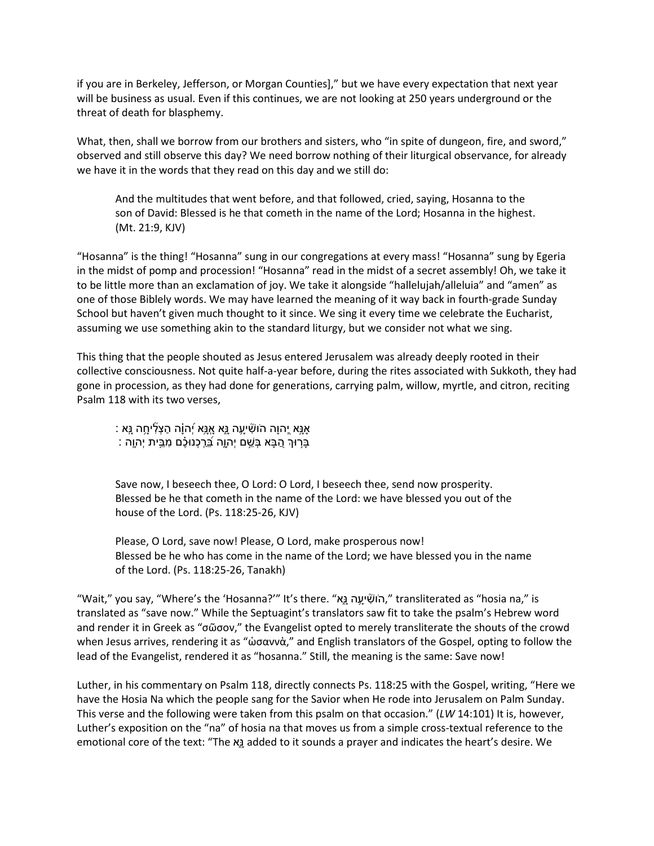if you are in Berkeley, Jefferson, or Morgan Counties]," but we have every expectation that next year will be business as usual. Even if this continues, we are not looking at 250 years underground or the threat of death for blasphemy.

What, then, shall we borrow from our brothers and sisters, who "in spite of dungeon, fire, and sword," observed and still observe this day? We need borrow nothing of their liturgical observance, for already we have it in the words that they read on this day and we still do:

And the multitudes that went before, and that followed, cried, saying, Hosanna to the son of David: Blessed is he that cometh in the name of the Lord; Hosanna in the highest. (Mt. 21:9, KJV)

"Hosanna" is the thing! "Hosanna" sung in our congregations at every mass! "Hosanna" sung by Egeria in the midst of pomp and procession! "Hosanna" read in the midst of a secret assembly! Oh, we take it to be little more than an exclamation of joy. We take it alongside "hallelujah/alleluia" and "amen" as one of those Biblely words. We may have learned the meaning of it way back in fourth-grade Sunday School but haven't given much thought to it since. We sing it every time we celebrate the Eucharist, assuming we use something akin to the standard liturgy, but we consider not what we sing.

This thing that the people shouted as Jesus entered Jerusalem was already deeply rooted in their collective consciousness. Not quite half-a-year before, during the rites associated with Sukkoth, they had gone in procession, as they had done for generations, carrying palm, willow, myrtle, and citron, reciting Psalm 118 with its two verses,

: אַנֵּא יֶהוַה הֹושִׁיעַה נֵא אָנֵּא יְהוַה הַצְלִיחַה נֵא ַ בַּרְוּךְ הֲבָּא בָּשֵׁם יְהוֵה בַּרְכָנוּכֶם מְבֵית יְהוָה :

Save now, I beseech thee, O Lord: O Lord, I beseech thee, send now prosperity. Blessed be he that cometh in the name of the Lord: we have blessed you out of the house of the Lord. (Ps. 118:25-26, KJV)

Please, O Lord, save now! Please, O Lord, make prosperous now! Blessed be he who has come in the name of the Lord; we have blessed you in the name of the Lord. (Ps. 118:25-26, Tanakh)

"Wait," you say, "Where's the 'Hosanna?'" It's there. "הוֹשָּׁיַעֲה נֵא, "transliterated as "hosia na," is translated as "save now." While the Septuagint's translators saw fit to take the psalm's Hebrew word and render it in Greek as "σῶσον," the Evangelist opted to merely transliterate the shouts of the crowd when Jesus arrives, rendering it as "ὡσαννὰ," and English translators of the Gospel, opting to follow the lead of the Evangelist, rendered it as "hosanna." Still, the meaning is the same: Save now!

Luther, in his commentary on Psalm 118, directly connects Ps. 118:25 with the Gospel, writing, "Here we have the Hosia Na which the people sang for the Savior when He rode into Jerusalem on Palm Sunday. This verse and the following were taken from this psalm on that occasion." (*LW* 14:101) It is, however, Luther's exposition on the "na" of hosia na that moves us from a simple cross-textual reference to the emotional core of the text: "The אָ֑ added to it sounds a prayer and indicates the heart's desire. We